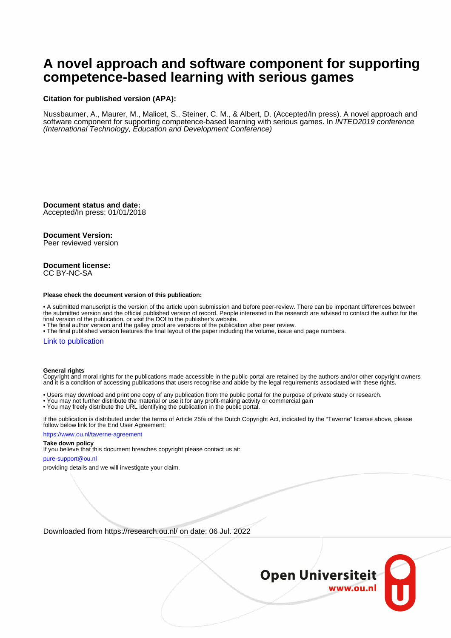# **A novel approach and software component for supporting competence-based learning with serious games**

### **Citation for published version (APA):**

Nussbaumer, A., Maurer, M., Malicet, S., Steiner, C. M., & Albert, D. (Accepted/In press). A novel approach and software component for supporting competence-based learning with serious games. In INTED2019 conference (International Technology, Education and Development Conference)

**Document status and date:** Accepted/In press: 01/01/2018

### **Document Version:**

Peer reviewed version

#### **Document license:** CC BY-NC-SA

#### **Please check the document version of this publication:**

• A submitted manuscript is the version of the article upon submission and before peer-review. There can be important differences between the submitted version and the official published version of record. People interested in the research are advised to contact the author for the final version of the publication, or visit the DOI to the publisher's website.

• The final author version and the galley proof are versions of the publication after peer review.

• The final published version features the final layout of the paper including the volume, issue and page numbers.

#### [Link to publication](https://research.ou.nl/en/publications/5692b68e-2a22-41a8-b459-8b29a9d01834)

#### **General rights**

Copyright and moral rights for the publications made accessible in the public portal are retained by the authors and/or other copyright owners and it is a condition of accessing publications that users recognise and abide by the legal requirements associated with these rights.

- Users may download and print one copy of any publication from the public portal for the purpose of private study or research.
- You may not further distribute the material or use it for any profit-making activity or commercial gain
- You may freely distribute the URL identifying the publication in the public portal.

If the publication is distributed under the terms of Article 25fa of the Dutch Copyright Act, indicated by the "Taverne" license above, please follow below link for the End User Agreement:

#### https://www.ou.nl/taverne-agreement

### **Take down policy**

If you believe that this document breaches copyright please contact us at:

#### pure-support@ou.nl

providing details and we will investigate your claim.

Downloaded from https://research.ou.nl/ on date: 06 Jul. 2022

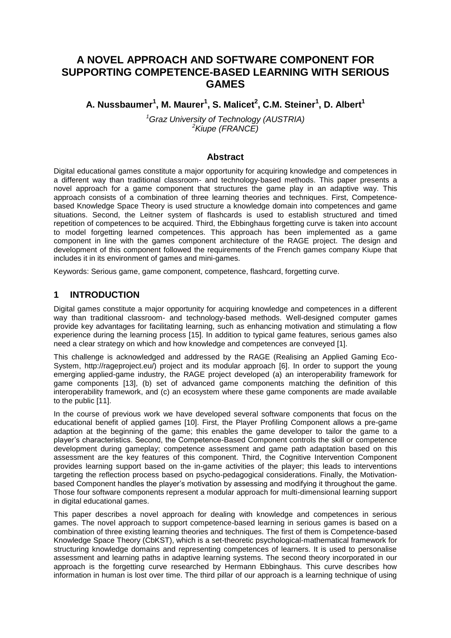## **A NOVEL APPROACH AND SOFTWARE COMPONENT FOR SUPPORTING COMPETENCE-BASED LEARNING WITH SERIOUS GAMES**

## **A. Nussbaumer<sup>1</sup> , M. Maurer<sup>1</sup> , S. Malicet<sup>2</sup> , C.M. Steiner<sup>1</sup> , D. Albert<sup>1</sup>**

*<sup>1</sup>Graz University of Technology (AUSTRIA) <sup>2</sup>Kiupe (FRANCE)*

### **Abstract**

Digital educational games constitute a major opportunity for acquiring knowledge and competences in a different way than traditional classroom- and technology-based methods. This paper presents a novel approach for a game component that structures the game play in an adaptive way. This approach consists of a combination of three learning theories and techniques. First, Competencebased Knowledge Space Theory is used structure a knowledge domain into competences and game situations. Second, the Leitner system of flashcards is used to establish structured and timed repetition of competences to be acquired. Third, the Ebbinghaus forgetting curve is taken into account to model forgetting learned competences. This approach has been implemented as a game component in line with the games component architecture of the RAGE project. The design and development of this component followed the requirements of the French games company Kiupe that includes it in its environment of games and mini-games.

Keywords: Serious game, game component, competence, flashcard, forgetting curve.

### **1 INTRODUCTION**

Digital games constitute a major opportunity for acquiring knowledge and competences in a different way than traditional classroom- and technology-based methods. Well-designed computer games provide key advantages for facilitating learning, such as enhancing motivation and stimulating a flow experience during the learning process [15]. In addition to typical game features, serious games also need a clear strategy on which and how knowledge and competences are conveyed [1].

This challenge is acknowledged and addressed by the RAGE (Realising an Applied Gaming Eco-System, http://rageproject.eu/) project and its modular approach [6]. In order to support the young emerging applied-game industry, the RAGE project developed (a) an interoperability framework for game components [13], (b) set of advanced game components matching the definition of this interoperability framework, and (c) an ecosystem where these game components are made available to the public [11].

In the course of previous work we have developed several software components that focus on the educational benefit of applied games [10]. First, the Player Profiling Component allows a pre-game adaption at the beginning of the game; this enables the game developer to tailor the game to a player's characteristics. Second, the Competence-Based Component controls the skill or competence development during gameplay; competence assessment and game path adaptation based on this assessment are the key features of this component. Third, the Cognitive Intervention Component provides learning support based on the in-game activities of the player; this leads to interventions targeting the reflection process based on psycho-pedagogical considerations. Finally, the Motivationbased Component handles the player's motivation by assessing and modifying it throughout the game. Those four software components represent a modular approach for multi-dimensional learning support in digital educational games.

This paper describes a novel approach for dealing with knowledge and competences in serious games. The novel approach to support competence-based learning in serious games is based on a combination of three existing learning theories and techniques. The first of them is Competence-based Knowledge Space Theory (CbKST), which is a set-theoretic psychological-mathematical framework for structuring knowledge domains and representing competences of learners. It is used to personalise assessment and learning paths in adaptive learning systems. The second theory incorporated in our approach is the forgetting curve researched by Hermann Ebbinghaus. This curve describes how information in human is lost over time. The third pillar of our approach is a learning technique of using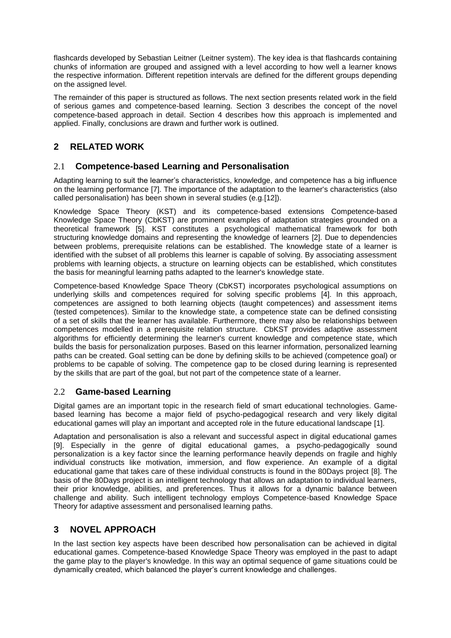flashcards developed by Sebastian Leitner (Leitner system). The key idea is that flashcards containing chunks of information are grouped and assigned with a level according to how well a learner knows the respective information. Different repetition intervals are defined for the different groups depending on the assigned level.

The remainder of this paper is structured as follows. The next section presents related work in the field of serious games and competence-based learning. Section 3 describes the concept of the novel competence-based approach in detail. Section 4 describes how this approach is implemented and applied. Finally, conclusions are drawn and further work is outlined.

## **2 RELATED WORK**

## 2.1 **Competence-based Learning and Personalisation**

Adapting learning to suit the learner's characteristics, knowledge, and competence has a big influence on the learning performance [7]. The importance of the adaptation to the learner's characteristics (also called personalisation) has been shown in several studies (e.g.[12]).

Knowledge Space Theory (KST) and its competence‐based extensions Competence-based Knowledge Space Theory (CbKST) are prominent examples of adaptation strategies grounded on a theoretical framework [5]. KST constitutes a psychological mathematical framework for both structuring knowledge domains and representing the knowledge of learners [2]. Due to dependencies between problems, prerequisite relations can be established. The knowledge state of a learner is identified with the subset of all problems this learner is capable of solving. By associating assessment problems with learning objects, a structure on learning objects can be established, which constitutes the basis for meaningful learning paths adapted to the learner's knowledge state.

Competence‐based Knowledge Space Theory (CbKST) incorporates psychological assumptions on underlying skills and competences required for solving specific problems [4]. In this approach, competences are assigned to both learning objects (taught competences) and assessment items (tested competences). Similar to the knowledge state, a competence state can be defined consisting of a set of skills that the learner has available. Furthermore, there may also be relationships between competences modelled in a prerequisite relation structure. CbKST provides adaptive assessment algorithms for efficiently determining the learner's current knowledge and competence state, which builds the basis for personalization purposes. Based on this learner information, personalized learning paths can be created. Goal setting can be done by defining skills to be achieved (competence goal) or problems to be capable of solving. The competence gap to be closed during learning is represented by the skills that are part of the goal, but not part of the competence state of a learner.

## 2.2 **Game-based Learning**

Digital games are an important topic in the research field of smart educational technologies. Gamebased learning has become a major field of psycho-pedagogical research and very likely digital educational games will play an important and accepted role in the future educational landscape [1].

Adaptation and personalisation is also a relevant and successful aspect in digital educational games [9]. Especially in the genre of digital educational games, a psycho-pedagogically sound personalization is a key factor since the learning performance heavily depends on fragile and highly individual constructs like motivation, immersion, and flow experience. An example of a digital educational game that takes care of these individual constructs is found in the 80Days project [8]. The basis of the 80Days project is an intelligent technology that allows an adaptation to individual learners, their prior knowledge, abilities, and preferences. Thus it allows for a dynamic balance between challenge and ability. Such intelligent technology employs Competence-based Knowledge Space Theory for adaptive assessment and personalised learning paths.

## **3 NOVEL APPROACH**

In the last section key aspects have been described how personalisation can be achieved in digital educational games. Competence-based Knowledge Space Theory was employed in the past to adapt the game play to the player's knowledge. In this way an optimal sequence of game situations could be dynamically created, which balanced the player's current knowledge and challenges.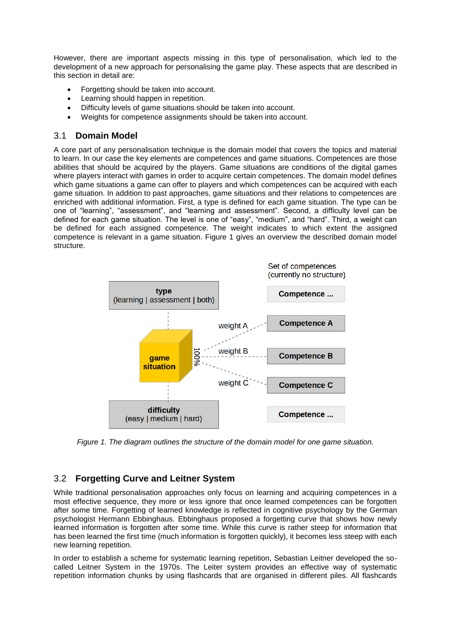However, there are important aspects missing in this type of personalisation, which led to the development of a new approach for personalising the game play. These aspects that are described in this section in detail are:

- Forgetting should be taken into account.
- Learning should happen in repetition.
- Difficulty levels of game situations should be taken into account.
- Weights for competence assignments should be taken into account.

### 3.1 **Domain Model**

A core part of any personalisation technique is the domain model that covers the topics and material to learn. In our case the key elements are competences and game situations. Competences are those abilities that should be acquired by the players. Game situations are conditions of the digital games where players interact with games in order to acquire certain competences. The domain model defines which game situations a game can offer to players and which competences can be acquired with each game situation. In addition to past approaches, game situations and their relations to competences are enriched with additional information. First, a type is defined for each game situation. The type can be one of "learning", "assessment", and "learning and assessment". Second, a difficulty level can be defined for each game situation. The level is one of "easy", "medium", and "hard". Third, a weight can be defined for each assigned competence. The weight indicates to which extent the assigned competence is relevant in a game situation. Figure 1 gives an overview the described domain model structure.



*Figure 1. The diagram outlines the structure of the domain model for one game situation.*

## 3.2 **Forgetting Curve and Leitner System**

While traditional personalisation approaches only focus on learning and acquiring competences in a most effective sequence, they more or less ignore that once learned competences can be forgotten after some time. Forgetting of learned knowledge is reflected in cognitive psychology by the German psychologist Hermann Ebbinghaus. Ebbinghaus proposed a forgetting curve that shows how newly learned information is forgotten after some time. While this curve is rather steep for information that has been learned the first time (much information is forgotten quickly), it becomes less steep with each new learning repetition.

In order to establish a scheme for systematic learning repetition, Sebastian Leitner developed the socalled Leitner System in the 1970s. The Leiter system provides an effective way of systematic repetition information chunks by using flashcards that are organised in different piles. All flashcards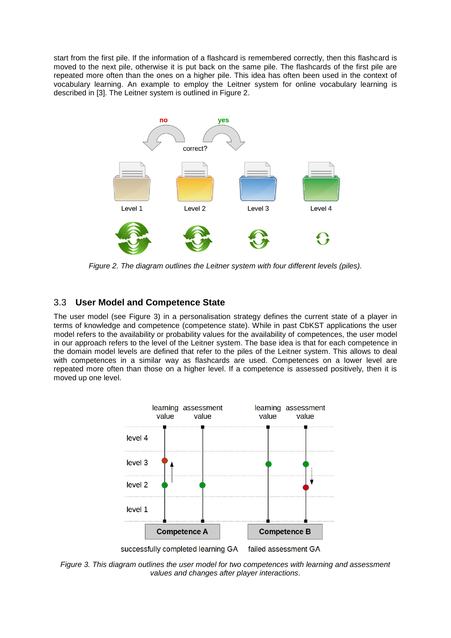start from the first pile. If the information of a flashcard is remembered correctly, then this flashcard is moved to the next pile, otherwise it is put back on the same pile. The flashcards of the first pile are repeated more often than the ones on a higher pile. This idea has often been used in the context of vocabulary learning. An example to employ the Leitner system for online vocabulary learning is described in [3]. The Leitner system is outlined in Figure 2.



*Figure 2. The diagram outlines the Leitner system with four different levels (piles).*

## 3.3 **User Model and Competence State**

The user model (see Figure 3) in a personalisation strategy defines the current state of a player in terms of knowledge and competence (competence state). While in past CbKST applications the user model refers to the availability or probability values for the availability of competences, the user model in our approach refers to the level of the Leitner system. The base idea is that for each competence in the domain model levels are defined that refer to the piles of the Leitner system. This allows to deal with competences in a similar way as flashcards are used. Competences on a lower level are repeated more often than those on a higher level. If a competence is assessed positively, then it is moved up one level.



*Figure 3. This diagram outlines the user model for two competences with learning and assessment values and changes after player interactions.*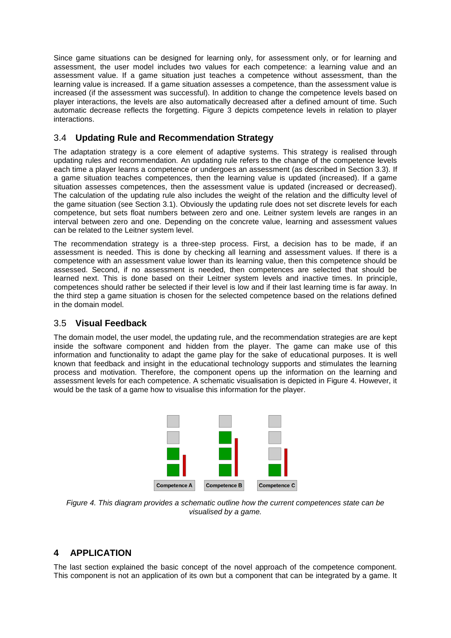Since game situations can be designed for learning only, for assessment only, or for learning and assessment, the user model includes two values for each competence: a learning value and an assessment value. If a game situation just teaches a competence without assessment, than the learning value is increased. If a game situation assesses a competence, than the assessment value is increased (if the assessment was successful). In addition to change the competence levels based on player interactions, the levels are also automatically decreased after a defined amount of time. Such automatic decrease reflects the forgetting. Figure 3 depicts competence levels in relation to player interactions.

## 3.4 **Updating Rule and Recommendation Strategy**

The adaptation strategy is a core element of adaptive systems. This strategy is realised through updating rules and recommendation. An updating rule refers to the change of the competence levels each time a player learns a competence or undergoes an assessment (as described in Section 3.3). If a game situation teaches competences, then the learning value is updated (increased). If a game situation assesses competences, then the assessment value is updated (increased or decreased). The calculation of the updating rule also includes the weight of the relation and the difficulty level of the game situation (see Section 3.1). Obviously the updating rule does not set discrete levels for each competence, but sets float numbers between zero and one. Leitner system levels are ranges in an interval between zero and one. Depending on the concrete value, learning and assessment values can be related to the Leitner system level.

The recommendation strategy is a three-step process. First, a decision has to be made, if an assessment is needed. This is done by checking all learning and assessment values. If there is a competence with an assessment value lower than its learning value, then this competence should be assessed. Second, if no assessment is needed, then competences are selected that should be learned next. This is done based on their Leitner system levels and inactive times. In principle, competences should rather be selected if their level is low and if their last learning time is far away. In the third step a game situation is chosen for the selected competence based on the relations defined in the domain model.

### 3.5 **Visual Feedback**

The domain model, the user model, the updating rule, and the recommendation strategies are are kept inside the software component and hidden from the player. The game can make use of this information and functionality to adapt the game play for the sake of educational purposes. It is well known that feedback and insight in the educational technology supports and stimulates the learning process and motivation. Therefore, the component opens up the information on the learning and assessment levels for each competence. A schematic visualisation is depicted in Figure 4. However, it would be the task of a game how to visualise this information for the player.



*Figure 4. This diagram provides a schematic outline how the current competences state can be visualised by a game.*

### **4 APPLICATION**

The last section explained the basic concept of the novel approach of the competence component. This component is not an application of its own but a component that can be integrated by a game. It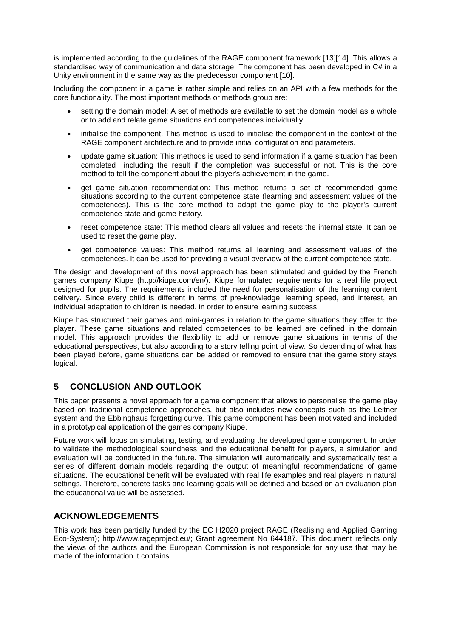is implemented according to the guidelines of the RAGE component framework [13][14]. This allows a standardised way of communication and data storage. The component has been developed in C# in a Unity environment in the same way as the predecessor component [10].

Including the component in a game is rather simple and relies on an API with a few methods for the core functionality. The most important methods or methods group are:

- setting the domain model: A set of methods are available to set the domain model as a whole or to add and relate game situations and competences individually
- initialise the component. This method is used to initialise the component in the context of the RAGE component architecture and to provide initial configuration and parameters.
- update game situation: This methods is used to send information if a game situation has been completed including the result if the completion was successful or not. This is the core method to tell the component about the player's achievement in the game.
- get game situation recommendation: This method returns a set of recommended game situations according to the current competence state (learning and assessment values of the competences). This is the core method to adapt the game play to the player's current competence state and game history.
- reset competence state: This method clears all values and resets the internal state. It can be used to reset the game play.
- get competence values: This method returns all learning and assessment values of the competences. It can be used for providing a visual overview of the current competence state.

The design and development of this novel approach has been stimulated and guided by the French games company Kiupe (http://kiupe.com/en/). Kiupe formulated requirements for a real life project designed for pupils. The requirements included the need for personalisation of the learning content delivery. Since every child is different in terms of pre-knowledge, learning speed, and interest, an individual adaptation to children is needed, in order to ensure learning success.

Kiupe has structured their games and mini-games in relation to the game situations they offer to the player. These game situations and related competences to be learned are defined in the domain model. This approach provides the flexibility to add or remove game situations in terms of the educational perspectives, but also according to a story telling point of view. So depending of what has been played before, game situations can be added or removed to ensure that the game story stays logical.

## **5 CONCLUSION AND OUTLOOK**

This paper presents a novel approach for a game component that allows to personalise the game play based on traditional competence approaches, but also includes new concepts such as the Leitner system and the Ebbinghaus forgetting curve. This game component has been motivated and included in a prototypical application of the games company Kiupe.

Future work will focus on simulating, testing, and evaluating the developed game component. In order to validate the methodological soundness and the educational benefit for players, a simulation and evaluation will be conducted in the future. The simulation will automatically and systematically test a series of different domain models regarding the output of meaningful recommendations of game situations. The educational benefit will be evaluated with real life examples and real players in natural settings. Therefore, concrete tasks and learning goals will be defined and based on an evaluation plan the educational value will be assessed.

## **ACKNOWLEDGEMENTS**

This work has been partially funded by the EC H2020 project RAGE (Realising and Applied Gaming Eco-System); http://www.rageproject.eu/; Grant agreement No 644187. This document reflects only the views of the authors and the European Commission is not responsible for any use that may be made of the information it contains.